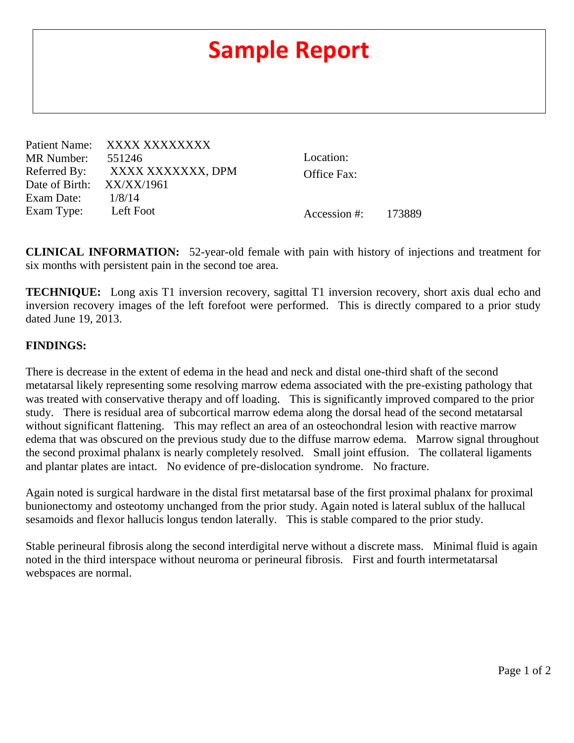## **Sample Report**

Patient Name: XXXX XXXXXXXX MR Number: 551246 Referred By: XXXX XXXXXXX, DPM Date of Birth: XX/XX/1961 Exam Date: 1/8/14 Exam Type: Left Foot

Location: Office Fax:

Accession #: 173889

**CLINICAL INFORMATION:** 52-year-old female with pain with history of injections and treatment for six months with persistent pain in the second toe area.

**TECHNIQUE:** Long axis T1 inversion recovery, sagittal T1 inversion recovery, short axis dual echo and inversion recovery images of the left forefoot were performed. This is directly compared to a prior study dated June 19, 2013.

## **FINDINGS:**

There is decrease in the extent of edema in the head and neck and distal one-third shaft of the second metatarsal likely representing some resolving marrow edema associated with the pre-existing pathology that was treated with conservative therapy and off loading. This is significantly improved compared to the prior study. There is residual area of subcortical marrow edema along the dorsal head of the second metatarsal without significant flattening. This may reflect an area of an osteochondral lesion with reactive marrow edema that was obscured on the previous study due to the diffuse marrow edema. Marrow signal throughout the second proximal phalanx is nearly completely resolved. Small joint effusion. The collateral ligaments and plantar plates are intact. No evidence of pre-dislocation syndrome. No fracture.

Again noted is surgical hardware in the distal first metatarsal base of the first proximal phalanx for proximal bunionectomy and osteotomy unchanged from the prior study. Again noted is lateral sublux of the hallucal sesamoids and flexor hallucis longus tendon laterally. This is stable compared to the prior study.

Stable perineural fibrosis along the second interdigital nerve without a discrete mass. Minimal fluid is again noted in the third interspace without neuroma or perineural fibrosis. First and fourth intermetatarsal webspaces are normal.